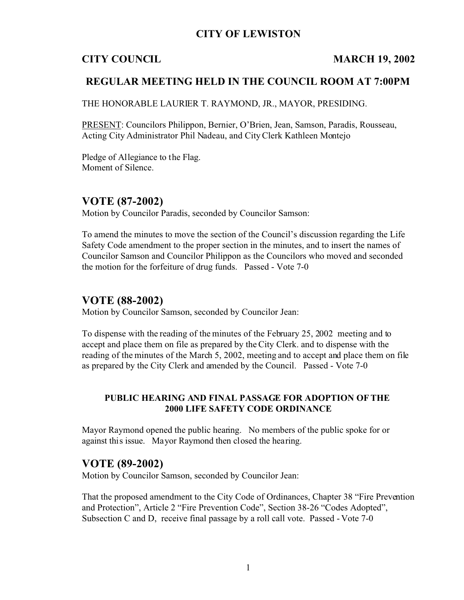# **CITY OF LEWISTON**

# **CITY COUNCIL MARCH 19, 2002**

# **REGULAR MEETING HELD IN THE COUNCIL ROOM AT 7:00PM**

THE HONORABLE LAURIER T. RAYMOND, JR., MAYOR, PRESIDING.

PRESENT: Councilors Philippon, Bernier, O'Brien, Jean, Samson, Paradis, Rousseau, Acting City Administrator Phil Nadeau, and City Clerk Kathleen Montejo

Pledge of Allegiance to the Flag. Moment of Silence.

# **VOTE (87-2002)**

Motion by Councilor Paradis, seconded by Councilor Samson:

To amend the minutes to move the section of the Council's discussion regarding the Life Safety Code amendment to the proper section in the minutes, and to insert the names of Councilor Samson and Councilor Philippon as the Councilors who moved and seconded the motion for the forfeiture of drug funds. Passed - Vote 7-0

# **VOTE (88-2002)**

Motion by Councilor Samson, seconded by Councilor Jean:

To dispense with the reading of the minutes of the February 25, 2002 meeting and to accept and place them on file as prepared by the City Clerk. and to dispense with the reading of the minutes of the March 5, 2002, meeting and to accept and place them on file as prepared by the City Clerk and amended by the Council. Passed - Vote 7-0

## **PUBLIC HEARING AND FINAL PASSAGE FOR ADOPTION OF THE 2000 LIFE SAFETY CODE ORDINANCE**

Mayor Raymond opened the public hearing. No members of the public spoke for or against this issue. Mayor Raymond then closed the hearing.

# **VOTE (89-2002)**

Motion by Councilor Samson, seconded by Councilor Jean:

That the proposed amendment to the City Code of Ordinances, Chapter 38 "Fire Prevention and Protection", Article 2 "Fire Prevention Code", Section 38-26 "Codes Adopted", Subsection C and D, receive final passage by a roll call vote. Passed - Vote 7-0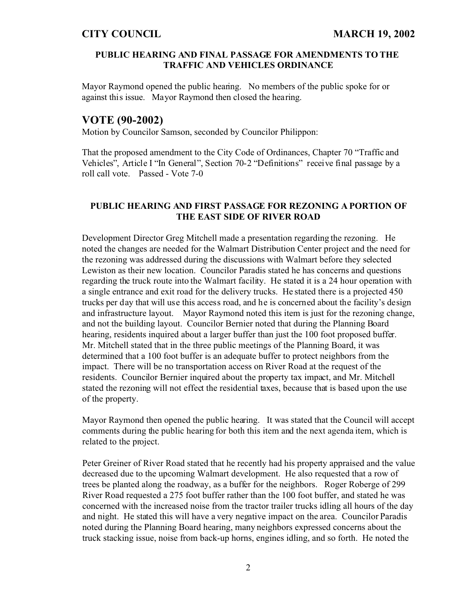### **PUBLIC HEARING AND FINAL PASSAGE FOR AMENDMENTS TO THE TRAFFIC AND VEHICLES ORDINANCE**

Mayor Raymond opened the public hearing. No members of the public spoke for or against this issue. Mayor Raymond then closed the hearing.

# **VOTE (90-2002)**

Motion by Councilor Samson, seconded by Councilor Philippon:

That the proposed amendment to the City Code of Ordinances, Chapter 70 "Traffic and Vehicles", Article I "In General", Section 70-2 "Definitions" receive final passage by a roll call vote. Passed - Vote 7-0

## **PUBLIC HEARING AND FIRST PASSAGE FOR REZONING A PORTION OF THE EAST SIDE OF RIVER ROAD**

Development Director Greg Mitchell made a presentation regarding the rezoning. He noted the changes are needed for the Walmart Distribution Center project and the need for the rezoning was addressed during the discussions with Walmart before they selected Lewiston as their new location. Councilor Paradis stated he has concerns and questions regarding the truck route into the Walmart facility. He stated it is a 24 hour operation with a single entrance and exit road for the delivery trucks. He stated there is a projected 450 trucks per day that will use this access road, and he is concerned about the facility's design and infrastructure layout. Mayor Raymond noted this item is just for the rezoning change, and not the building layout. Councilor Bernier noted that during the Planning Board hearing, residents inquired about a larger buffer than just the 100 foot proposed buffer. Mr. Mitchell stated that in the three public meetings of the Planning Board, it was determined that a 100 foot buffer is an adequate buffer to protect neighbors from the impact. There will be no transportation access on River Road at the request of the residents. Councilor Bernier inquired about the property tax impact, and Mr. Mitchell stated the rezoning will not effect the residential taxes, because that is based upon the use of the property.

Mayor Raymond then opened the public hearing. It was stated that the Council will accept comments during the public hearing for both this item and the next agenda item, which is related to the project.

Peter Greiner of River Road stated that he recently had his property appraised and the value decreased due to the upcoming Walmart development. He also requested that a row of trees be planted along the roadway, as a buffer for the neighbors. Roger Roberge of 299 River Road requested a 275 foot buffer rather than the 100 foot buffer, and stated he was concerned with the increased noise from the tractor trailer trucks idling all hours of the day and night. He stated this will have a very negative impact on the area. Councilor Paradis noted during the Planning Board hearing, many neighbors expressed concerns about the truck stacking issue, noise from back-up horns, engines idling, and so forth. He noted the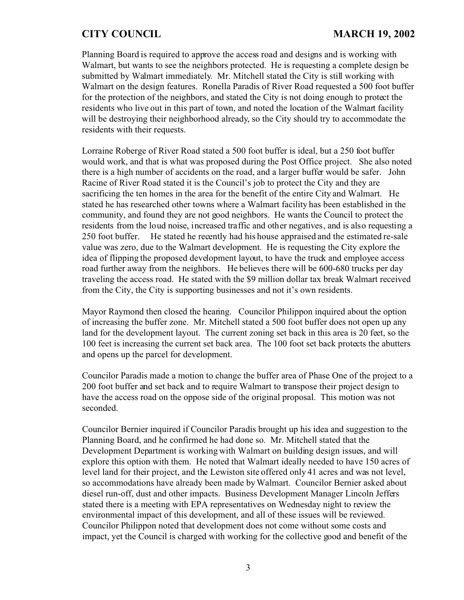Planning Board is required to approve the access road and designs and is working with Walmart, but wants to see the neighbors protected. He is requesting a complete design be submitted by Walmart immediately. Mr. Mitchell stated the City is still working with Walmart on the design features. Ronella Paradis of River Road requested a 500 foot buffer for the protection of the neighbors, and stated the City is not doing enough to protect the residents who live out in this part of town, and noted the location of the Walmart facility will be destroying their neighborhood already, so the City should try to accommodate the residents with their requests.

Lorraine Roberge of River Road stated a 500 foot buffer is ideal, but a 250 foot buffer would work, and that is what was proposed during the Post Office project. She also noted there is a high number of accidents on the road, and a larger buffer would be safer. John Racine of River Road stated it is the Council's job to protect the City and they are sacrificing the ten homes in the area for the benefit of the entire City and Walmart. He stated he has researched other towns where a Walmart facility has been established in the community, and found they are not good neighbors. He wants the Council to protect the residents from the loud noise, increased traffic and other negatives, and is also requesting a 250 foot buffer. He stated he recently had his house appraised and the estimated re-sale value was zero, due to the Walmart development. He is requesting the City explore the idea of flipping the proposed development layout, to have the truck and employee access road further away from the neighbors. He believes there will be 600-680 trucks per day traveling the access road. He stated with the \$9 million dollar tax break Walmart received from the City, the City is supporting businesses and not it's own residents.

Mayor Raymond then closed the hearing. Councilor Philippon inquired about the option of increasing the buffer zone. Mr. Mitchell stated a 500 foot buffer does not open up any land for the development layout. The current zoning set back in this area is 20 feet, so the 100 feet is increasing the current set back area. The 100 foot set back protects the abutters and opens up the parcel for development.

Councilor Paradis made a motion to change the buffer area of Phase One of the project to a 200 foot buffer and set back and to require Walmart to transpose their project design to have the access road on the oppose side of the original proposal. This motion was not seconded.

Councilor Bernier inquired if Councilor Paradis brought up his idea and suggestion to the Planning Board, and he confirmed he had done so. Mr. Mitchell stated that the Development Department is working with Walmart on building design issues, and will explore this option with them. He noted that Walmart ideally needed to have 150 acres of level land for their project, and the Lewiston site offered only 41 acres and was not level, so accommodations have already been made by Walmart. Councilor Bernier asked about diesel run-off, dust and other impacts. Business Development Manager Lincoln Jeffers stated there is a meeting with EPA representatives on Wednesday night to review the environmental impact of this development, and all of these issues will be reviewed. Councilor Philippon noted that development does not come without some costs and impact, yet the Council is charged with working for the collective good and benefit of the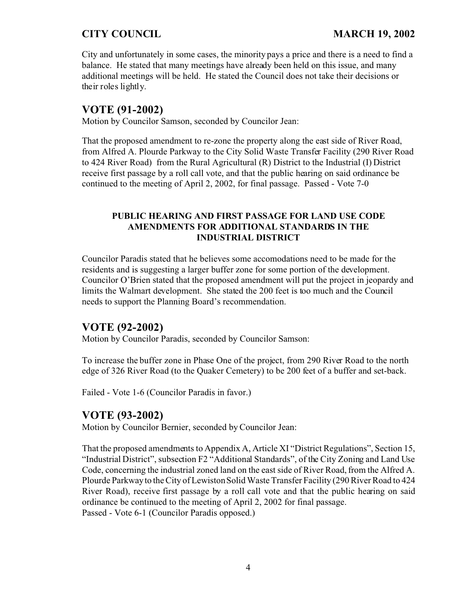City and unfortunately in some cases, the minority pays a price and there is a need to find a balance. He stated that many meetings have already been held on this issue, and many additional meetings will be held. He stated the Council does not take their decisions or their roles lightly.

# **VOTE (91-2002)**

Motion by Councilor Samson, seconded by Councilor Jean:

That the proposed amendment to re-zone the property along the east side of River Road, from Alfred A. Plourde Parkway to the City Solid Waste Transfer Facility (290 River Road to 424 River Road) from the Rural Agricultural (R) District to the Industrial (I) District receive first passage by a roll call vote, and that the public hearing on said ordinance be continued to the meeting of April 2, 2002, for final passage. Passed - Vote 7-0

## **PUBLIC HEARING AND FIRST PASSAGE FOR LAND USE CODE AMENDMENTS FOR ADDITIONAL STANDARDS IN THE INDUSTRIAL DISTRICT**

Councilor Paradis stated that he believes some accomodations need to be made for the residents and is suggesting a larger buffer zone for some portion of the development. Councilor O'Brien stated that the proposed amendment will put the project in jeopardy and limits the Walmart development. She stated the 200 feet is too much and the Council needs to support the Planning Board's recommendation.

# **VOTE (92-2002)**

Motion by Councilor Paradis, seconded by Councilor Samson:

To increase the buffer zone in Phase One of the project, from 290 River Road to the north edge of 326 River Road (to the Quaker Cemetery) to be 200 feet of a buffer and set-back.

Failed - Vote 1-6 (Councilor Paradis in favor.)

# **VOTE (93-2002)**

Motion by Councilor Bernier, seconded by Councilor Jean:

That the proposed amendments to Appendix A, Article XI "District Regulations", Section 15, "Industrial District", subsection F2 "Additional Standards", of the City Zoning and Land Use Code, concerning the industrial zoned land on the east side of River Road, from the Alfred A. Plourde Parkway to the City of Lewiston Solid Waste Transfer Facility (290 River Road to 424 River Road), receive first passage by a roll call vote and that the public hearing on said ordinance be continued to the meeting of April 2, 2002 for final passage. Passed - Vote 6-1 (Councilor Paradis opposed.)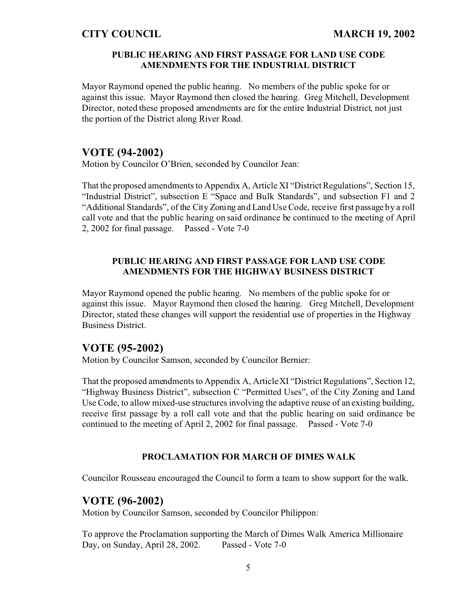## **PUBLIC HEARING AND FIRST PASSAGE FOR LAND USE CODE AMENDMENTS FOR THE INDUSTRIAL DISTRICT**

Mayor Raymond opened the public hearing. No members of the public spoke for or against this issue. Mayor Raymond then closed the hearing. Greg Mitchell, Development Director, noted these proposed amendments are for the entire Industrial District, not just the portion of the District along River Road.

# **VOTE (94-2002)**

Motion by Councilor O'Brien, seconded by Councilor Jean:

That the proposed amendments to Appendix A, Article XI "District Regulations", Section 15, "Industrial District", subsection E "Space and Bulk Standards", and subsection F1 and 2 "Additional Standards", of the City Zoning and Land Use Code, receive first passage by a roll call vote and that the public hearing on said ordinance be continued to the meeting of April 2, 2002 for final passage. Passed - Vote 7-0

## **PUBLIC HEARING AND FIRST PASSAGE FOR LAND USE CODE AMENDMENTS FOR THE HIGHWAY BUSINESS DISTRICT**

Mayor Raymond opened the public hearing. No members of the public spoke for or against this issue. Mayor Raymond then closed the hearing. Greg Mitchell, Development Director, stated these changes will support the residential use of properties in the Highway Business District.

# **VOTE (95-2002)**

Motion by Councilor Samson, seconded by Councilor Bernier:

That the proposed amendments to Appendix A, Article XI "District Regulations", Section 12, "Highway Business District", subsection C "Permitted Uses", of the City Zoning and Land Use Code, to allow mixed-use structures involving the adaptive reuse of an existing building, receive first passage by a roll call vote and that the public hearing on said ordinance be continued to the meeting of April 2, 2002 for final passage. Passed - Vote 7-0

### **PROCLAMATION FOR MARCH OF DIMES WALK**

Councilor Rousseau encouraged the Council to form a team to show support for the walk.

# **VOTE (96-2002)**

Motion by Councilor Samson, seconded by Councilor Philippon:

To approve the Proclamation supporting the March of Dimes Walk America Millionaire Day, on Sunday, April 28, 2002. Passed - Vote 7-0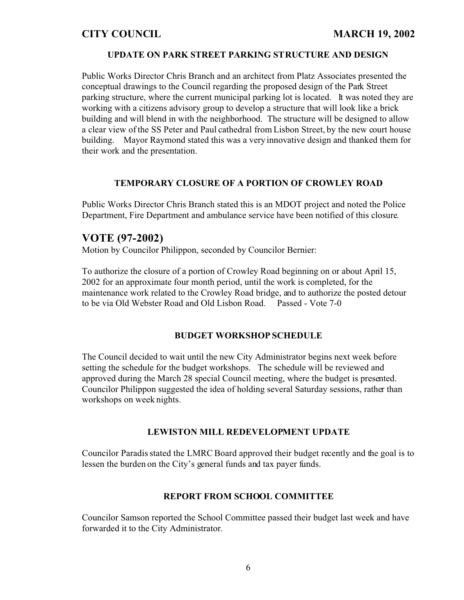### **UPDATE ON PARK STREET PARKING STRUCTURE AND DESIGN**

Public Works Director Chris Branch and an architect from Platz Associates presented the conceptual drawings to the Council regarding the proposed design of the Park Street parking structure, where the current municipal parking lot is located. It was noted they are working with a citizens advisory group to develop a structure that will look like a brick building and will blend in with the neighborhood. The structure will be designed to allow a clear view of the SS Peter and Paul cathedral from Lisbon Street, by the new court house building. Mayor Raymond stated this was a very innovative design and thanked them for their work and the presentation.

## **TEMPORARY CLOSURE OF A PORTION OF CROWLEY ROAD**

Public Works Director Chris Branch stated this is an MDOT project and noted the Police Department, Fire Department and ambulance service have been notified of this closure.

# **VOTE (97-2002)**

Motion by Councilor Philippon, seconded by Councilor Bernier:

To authorize the closure of a portion of Crowley Road beginning on or about April 15, 2002 for an approximate four month period, until the work is completed, for the maintenance work related to the Crowley Road bridge, and to authorize the posted detour to be via Old Webster Road and Old Lisbon Road. Passed - Vote 7-0

### **BUDGET WORKSHOP SCHEDULE**

The Council decided to wait until the new City Administrator begins next week before setting the schedule for the budget workshops. The schedule will be reviewed and approved during the March 28 special Council meeting, where the budget is presented. Councilor Philippon suggested the idea of holding several Saturday sessions, rather than workshops on week nights.

### **LEWISTON MILL REDEVELOPMENT UPDATE**

Councilor Paradis stated the LMRC Board approved their budget recently and the goal is to lessen the burden on the City's general funds and tax payer funds.

### **REPORT FROM SCHOOL COMMITTEE**

Councilor Samson reported the School Committee passed their budget last week and have forwarded it to the City Administrator.